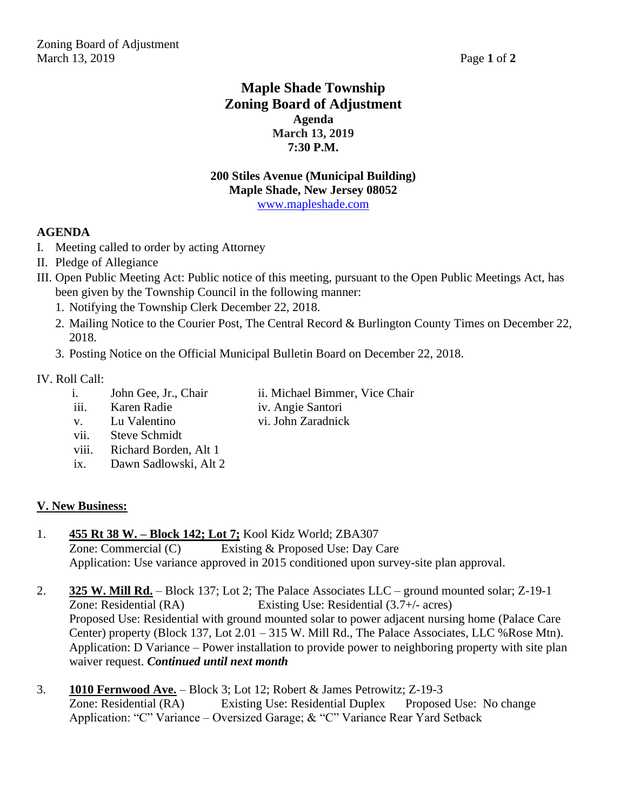# **Maple Shade Township Zoning Board of Adjustment Agenda March 13, 2019 7:30 P.M.**

#### **200 Stiles Avenue (Municipal Building) Maple Shade, New Jersey 08052** [www.mapleshade.com](http://www.mapleshade.com/)

# **AGENDA**

- I. Meeting called to order by acting Attorney
- II. Pledge of Allegiance
- III. Open Public Meeting Act: Public notice of this meeting, pursuant to the Open Public Meetings Act, has been given by the Township Council in the following manner:
	- 1. Notifying the Township Clerk December 22, 2018.
	- 2. Mailing Notice to the Courier Post, The Central Record & Burlington County Times on December 22, 2018.
	- 3. Posting Notice on the Official Municipal Bulletin Board on December 22, 2018.

### IV. Roll Call:

- i. John Gee, Jr., Chair ii. Michael Bimmer, Vice Chair
	-
- iii. Karen Radie iv. Angie Santori v. Lu Valentino vi. John Zaradnick
- 
- vii. Steve Schmidt
- viii. Richard Borden, Alt 1
- ix. Dawn Sadlowski, Alt 2

# **V. New Business:**

1. **455 Rt 38 W. – Block 142; Lot 7;** Kool Kidz World; ZBA307

Zone: Commercial (C) Existing & Proposed Use: Day Care Application: Use variance approved in 2015 conditioned upon survey-site plan approval.

- 2. **325 W. Mill Rd.** Block 137; Lot 2; The Palace Associates LLC ground mounted solar; Z-19-1 Zone: Residential (RA) Existing Use: Residential (3.7+/- acres) Proposed Use: Residential with ground mounted solar to power adjacent nursing home (Palace Care Center) property (Block 137, Lot 2.01 – 315 W. Mill Rd., The Palace Associates, LLC %Rose Mtn). Application: D Variance – Power installation to provide power to neighboring property with site plan waiver request. *Continued until next month*
- 3. **1010 Fernwood Ave.** Block 3; Lot 12; Robert & James Petrowitz; Z-19-3 Zone: Residential (RA) Existing Use: Residential Duplex Proposed Use: No change Application: "C" Variance – Oversized Garage; & "C" Variance Rear Yard Setback